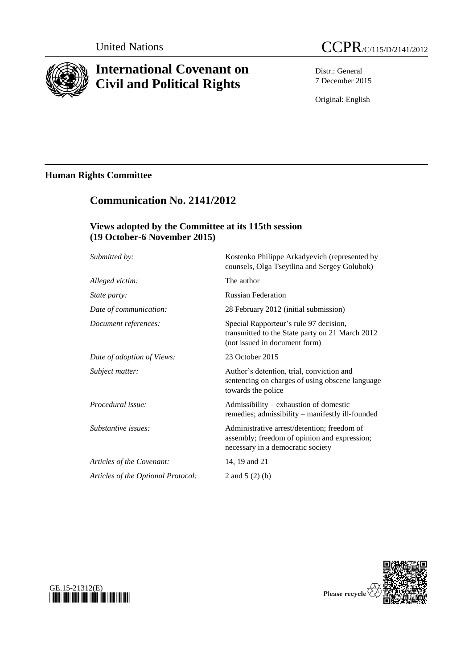

# **International Covenant on Civil and Political Rights**

Distr.: General 7 December 2015

Original: English

## **Human Rights Committee**

## **Communication No. 2141/2012**

## **Views adopted by the Committee at its 115th session (19 October-6 November 2015)**

| Submitted by:                      | Kostenko Philippe Arkadyevich (represented by<br>counsels, Olga Tseytlina and Sergey Golubok)                                    |
|------------------------------------|----------------------------------------------------------------------------------------------------------------------------------|
| Alleged victim:                    | The author                                                                                                                       |
| <i>State party:</i>                | <b>Russian Federation</b>                                                                                                        |
| Date of communication:             | 28 February 2012 (initial submission)                                                                                            |
| Document references:               | Special Rapporteur's rule 97 decision,<br>transmitted to the State party on 21 March 2012<br>(not issued in document form)       |
| Date of adoption of Views:         | 23 October 2015                                                                                                                  |
| Subject matter:                    | Author's detention, trial, conviction and<br>sentencing on charges of using obscene language<br>towards the police               |
| Procedural issue:                  | Admissibility – exhaustion of domestic<br>remedies; admissibility - manifestly ill-founded                                       |
| Substantive issues:                | Administrative arrest/detention; freedom of<br>assembly; freedom of opinion and expression;<br>necessary in a democratic society |
| Articles of the Covenant:          | 14, 19 and 21                                                                                                                    |
| Articles of the Optional Protocol: | 2 and $5(2)(b)$                                                                                                                  |
|                                    |                                                                                                                                  |



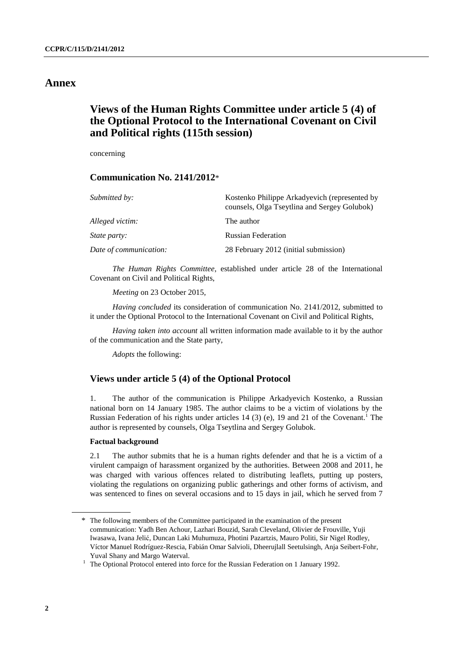### **Annex**

## **Views of the Human Rights Committee under article 5 (4) of the Optional Protocol to the International Covenant on Civil and Political rights (115th session)**

concerning

#### **Communication No. 2141/2012**\*

| Submitted by:          | Kostenko Philippe Arkadyevich (represented by<br>counsels, Olga Tseytlina and Sergey Golubok) |
|------------------------|-----------------------------------------------------------------------------------------------|
| Alleged victim:        | The author                                                                                    |
| <i>State party:</i>    | <b>Russian Federation</b>                                                                     |
| Date of communication: | 28 February 2012 (initial submission)                                                         |

*The Human Rights Committee*, established under article 28 of the International Covenant on Civil and Political Rights,

*Meeting* on 23 October 2015,

*Having concluded* its consideration of communication No. 2141/2012, submitted to it under the Optional Protocol to the International Covenant on Civil and Political Rights,

*Having taken into account* all written information made available to it by the author of the communication and the State party,

*Adopts* the following:

#### **Views under article 5 (4) of the Optional Protocol**

1. The author of the communication is Philippe Arkadyevich Kostenko, a Russian national born on 14 January 1985. The author claims to be a victim of violations by the Russian Federation of his rights under articles 14 (3) (e), 19 and 21 of the Covenant.<sup>1</sup> The author is represented by counsels, Olga Tseytlina and Sergey Golubok.

#### **Factual background**

2.1 The author submits that he is a human rights defender and that he is a victim of a virulent campaign of harassment organized by the authorities. Between 2008 and 2011, he was charged with various offences related to distributing leaflets, putting up posters, violating the regulations on organizing public gatherings and other forms of activism, and was sentenced to fines on several occasions and to 15 days in jail, which he served from 7

<sup>\*</sup> The following members of the Committee participated in the examination of the present communication: Yadh Ben Achour, Lazhari Bouzid, Sarah Cleveland, Olivier de Frouville, Yuji Iwasawa, Ivana Jelić, Duncan Laki Muhumuza, Photini Pazartzis, Mauro Politi, Sir Nigel Rodley, Víctor Manuel Rodríguez-Rescia, Fabián Omar Salvioli, Dheerujlall Seetulsingh, Anja Seibert-Fohr, Yuval Shany and Margo Waterval.

 $1$  The Optional Protocol entered into force for the Russian Federation on 1 January 1992.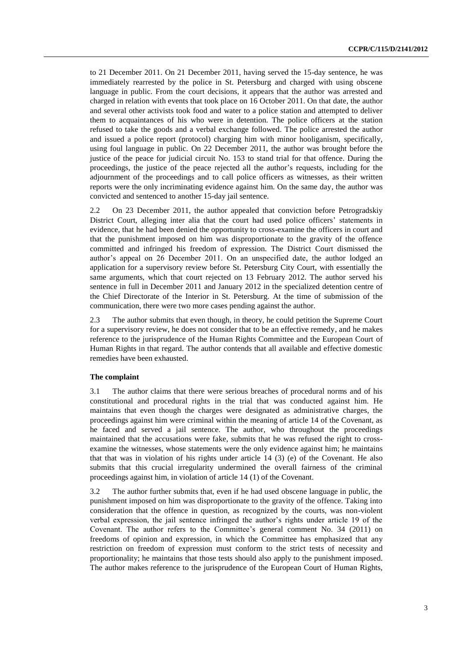to 21 December 2011. On 21 December 2011, having served the 15-day sentence, he was immediately rearrested by the police in St. Petersburg and charged with using obscene language in public. From the court decisions, it appears that the author was arrested and charged in relation with events that took place on 16 October 2011. On that date, the author and several other activists took food and water to a police station and attempted to deliver them to acquaintances of his who were in detention. The police officers at the station refused to take the goods and a verbal exchange followed. The police arrested the author and issued a police report (protocol) charging him with minor hooliganism, specifically, using foul language in public. On 22 December 2011, the author was brought before the justice of the peace for judicial circuit No. 153 to stand trial for that offence. During the proceedings, the justice of the peace rejected all the author's requests, including for the adjournment of the proceedings and to call police officers as witnesses, as their written reports were the only incriminating evidence against him. On the same day, the author was convicted and sentenced to another 15-day jail sentence.

2.2 On 23 December 2011, the author appealed that conviction before Petrogradskiy District Court, alleging inter alia that the court had used police officers' statements in evidence, that he had been denied the opportunity to cross-examine the officers in court and that the punishment imposed on him was disproportionate to the gravity of the offence committed and infringed his freedom of expression. The District Court dismissed the author's appeal on 26 December 2011. On an unspecified date, the author lodged an application for a supervisory review before St. Petersburg City Court, with essentially the same arguments, which that court rejected on 13 February 2012. The author served his sentence in full in December 2011 and January 2012 in the specialized detention centre of the Chief Directorate of the Interior in St. Petersburg. At the time of submission of the communication, there were two more cases pending against the author.

2.3 The author submits that even though, in theory, he could petition the Supreme Court for a supervisory review, he does not consider that to be an effective remedy, and he makes reference to the jurisprudence of the Human Rights Committee and the European Court of Human Rights in that regard. The author contends that all available and effective domestic remedies have been exhausted.

#### **The complaint**

3.1 The author claims that there were serious breaches of procedural norms and of his constitutional and procedural rights in the trial that was conducted against him. He maintains that even though the charges were designated as administrative charges, the proceedings against him were criminal within the meaning of article 14 of the Covenant, as he faced and served a jail sentence. The author, who throughout the proceedings maintained that the accusations were fake, submits that he was refused the right to crossexamine the witnesses, whose statements were the only evidence against him; he maintains that that was in violation of his rights under article 14 (3) (e) of the Covenant. He also submits that this crucial irregularity undermined the overall fairness of the criminal proceedings against him, in violation of article 14 (1) of the Covenant.

3.2 The author further submits that, even if he had used obscene language in public, the punishment imposed on him was disproportionate to the gravity of the offence. Taking into consideration that the offence in question, as recognized by the courts, was non-violent verbal expression, the jail sentence infringed the author's rights under article 19 of the Covenant. The author refers to the Committee's general comment No. 34 (2011) on freedoms of opinion and expression, in which the Committee has emphasized that any restriction on freedom of expression must conform to the strict tests of necessity and proportionality; he maintains that those tests should also apply to the punishment imposed. The author makes reference to the jurisprudence of the European Court of Human Rights,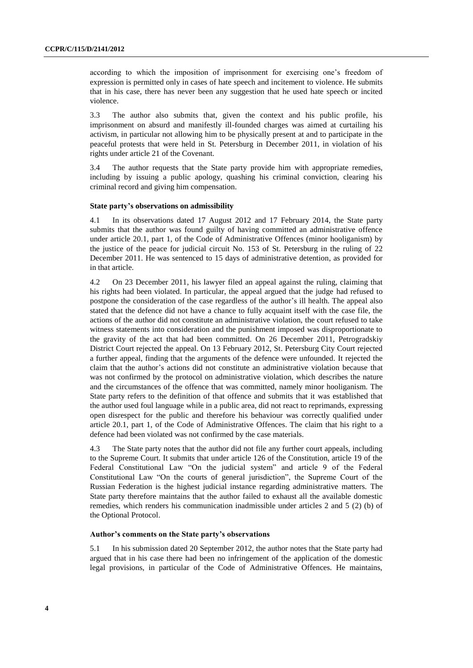according to which the imposition of imprisonment for exercising one's freedom of expression is permitted only in cases of hate speech and incitement to violence. He submits that in his case, there has never been any suggestion that he used hate speech or incited violence.

3.3 The author also submits that, given the context and his public profile, his imprisonment on absurd and manifestly ill-founded charges was aimed at curtailing his activism, in particular not allowing him to be physically present at and to participate in the peaceful protests that were held in St. Petersburg in December 2011, in violation of his rights under article 21 of the Covenant.

3.4 The author requests that the State party provide him with appropriate remedies, including by issuing a public apology, quashing his criminal conviction, clearing his criminal record and giving him compensation.

#### **State party's observations on admissibility**

4.1 In its observations dated 17 August 2012 and 17 February 2014, the State party submits that the author was found guilty of having committed an administrative offence under article 20.1, part 1, of the Code of Administrative Offences (minor hooliganism) by the justice of the peace for judicial circuit No. 153 of St. Petersburg in the ruling of 22 December 2011. He was sentenced to 15 days of administrative detention, as provided for in that article.

4.2 On 23 December 2011, his lawyer filed an appeal against the ruling, claiming that his rights had been violated. In particular, the appeal argued that the judge had refused to postpone the consideration of the case regardless of the author's ill health. The appeal also stated that the defence did not have a chance to fully acquaint itself with the case file, the actions of the author did not constitute an administrative violation, the court refused to take witness statements into consideration and the punishment imposed was disproportionate to the gravity of the act that had been committed. On 26 December 2011, Petrogradskiy District Court rejected the appeal. On 13 February 2012, St. Petersburg City Court rejected a further appeal, finding that the arguments of the defence were unfounded. It rejected the claim that the author's actions did not constitute an administrative violation because that was not confirmed by the protocol on administrative violation, which describes the nature and the circumstances of the offence that was committed, namely minor hooliganism. The State party refers to the definition of that offence and submits that it was established that the author used foul language while in a public area, did not react to reprimands, expressing open disrespect for the public and therefore his behaviour was correctly qualified under article 20.1, part 1, of the Code of Administrative Offences. The claim that his right to a defence had been violated was not confirmed by the case materials.

4.3 The State party notes that the author did not file any further court appeals, including to the Supreme Court. It submits that under article 126 of the Constitution, article 19 of the Federal Constitutional Law "On the judicial system" and article 9 of the Federal Constitutional Law "On the courts of general jurisdiction", the Supreme Court of the Russian Federation is the highest judicial instance regarding administrative matters. The State party therefore maintains that the author failed to exhaust all the available domestic remedies, which renders his communication inadmissible under articles 2 and 5 (2) (b) of the Optional Protocol.

#### **Author's comments on the State party's observations**

5.1 In his submission dated 20 September 2012, the author notes that the State party had argued that in his case there had been no infringement of the application of the domestic legal provisions, in particular of the Code of Administrative Offences. He maintains,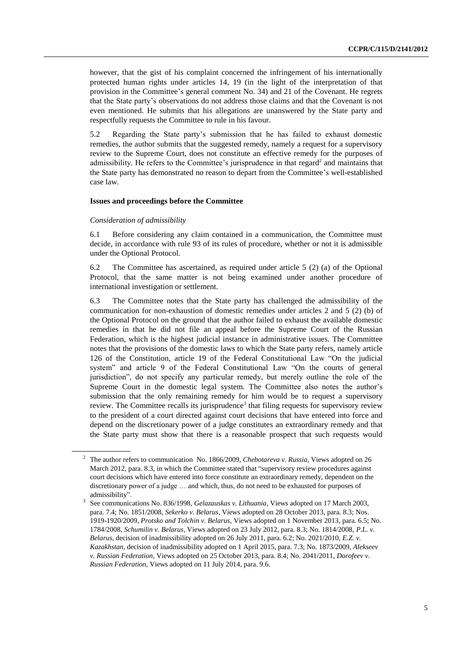however, that the gist of his complaint concerned the infringement of his internationally protected human rights under articles 14, 19 (in the light of the interpretation of that provision in the Committee's general comment No. 34) and 21 of the Covenant. He regrets that the State party's observations do not address those claims and that the Covenant is not even mentioned. He submits that his allegations are unanswered by the State party and respectfully requests the Committee to rule in his favour.

5.2 Regarding the State party's submission that he has failed to exhaust domestic remedies, the author submits that the suggested remedy, namely a request for a supervisory review to the Supreme Court, does not constitute an effective remedy for the purposes of admissibility. He refers to the Committee's jurisprudence in that regard<sup>2</sup> and maintains that the State party has demonstrated no reason to depart from the Committee's well-established case law.

#### **Issues and proceedings before the Committee**

#### *Consideration of admissibility*

6.1 Before considering any claim contained in a communication, the Committee must decide, in accordance with rule 93 of its rules of procedure, whether or not it is admissible under the Optional Protocol.

6.2 The Committee has ascertained, as required under article 5 (2) (a) of the Optional Protocol, that the same matter is not being examined under another procedure of international investigation or settlement.

6.3 The Committee notes that the State party has challenged the admissibility of the communication for non-exhaustion of domestic remedies under articles 2 and 5 (2) (b) of the Optional Protocol on the ground that the author failed to exhaust the available domestic remedies in that he did not file an appeal before the Supreme Court of the Russian Federation, which is the highest judicial instance in administrative issues. The Committee notes that the provisions of the domestic laws to which the State party refers, namely article 126 of the Constitution, article 19 of the Federal Constitutional Law "On the judicial system" and article 9 of the Federal Constitutional Law "On the courts of general jurisdiction", do not specify any particular remedy, but merely outline the role of the Supreme Court in the domestic legal system. The Committee also notes the author's submission that the only remaining remedy for him would be to request a supervisory review. The Committee recalls its jurisprudence<sup>3</sup> that filing requests for supervisory review to the president of a court directed against court decisions that have entered into force and depend on the discretionary power of a judge constitutes an extraordinary remedy and that the State party must show that there is a reasonable prospect that such requests would

<sup>2</sup> The author refers to communication No. 1866/2009, *Chebotareva v. Russia*, Views adopted on 26 March 2012, para. 8.3, in which the Committee stated that "supervisory review procedures against court decisions which have entered into force constitute an extraordinary remedy, dependent on the discretionary power of a judge … and which, thus, do not need to be exhausted for purposes of admissibility".

<sup>3</sup> See communications No. 836/1998, *Gelazauskas v. Lithuania*, Views adopted on 17 March 2003, para. 7.4; No. 1851/2008, *Sekerko v. Belarus*, Views adopted on 28 October 2013, para. 8.3; Nos. 1919-1920/2009, *Protsko and Tolchin v. Belarus*, Views adopted on 1 November 2013, para. 6.5; No. 1784/2008, *Schumilin v. Belarus*, Views adopted on 23 July 2012, para. 8.3; No. 1814/2008, *P.L. v. Belarus*, decision of inadmissibility adopted on 26 July 2011, para. 6.2; No. 2021/2010, *E.Z. v. Kazakhstan*, decision of inadmissibility adopted on 1 April 2015, para. 7.3; No. 1873/2009, *Alekseev v. Russian Federation*, Views adopted on 25 October 2013, para. 8.4; No. 2041/2011, *Dorofeev v. Russian Federation*, Views adopted on 11 July 2014, para. 9.6.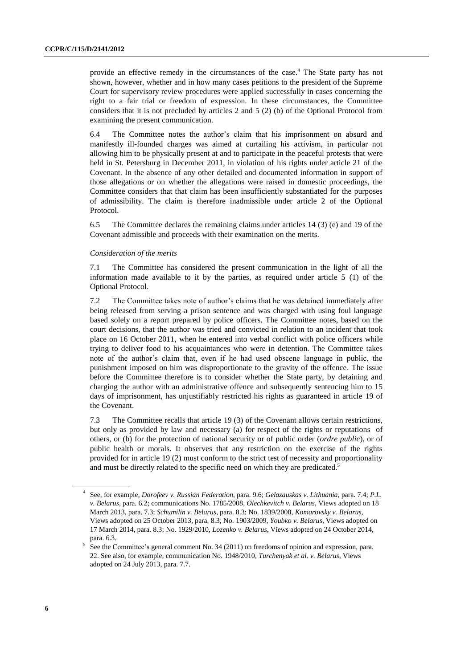provide an effective remedy in the circumstances of the case.<sup>4</sup> The State party has not shown, however, whether and in how many cases petitions to the president of the Supreme Court for supervisory review procedures were applied successfully in cases concerning the right to a fair trial or freedom of expression. In these circumstances, the Committee considers that it is not precluded by articles 2 and 5 (2) (b) of the Optional Protocol from examining the present communication.

6.4 The Committee notes the author's claim that his imprisonment on absurd and manifestly ill-founded charges was aimed at curtailing his activism, in particular not allowing him to be physically present at and to participate in the peaceful protests that were held in St. Petersburg in December 2011, in violation of his rights under article 21 of the Covenant. In the absence of any other detailed and documented information in support of those allegations or on whether the allegations were raised in domestic proceedings, the Committee considers that that claim has been insufficiently substantiated for the purposes of admissibility. The claim is therefore inadmissible under article 2 of the Optional Protocol.

6.5 The Committee declares the remaining claims under articles 14 (3) (e) and 19 of the Covenant admissible and proceeds with their examination on the merits.

#### *Consideration of the merits*

7.1 The Committee has considered the present communication in the light of all the information made available to it by the parties, as required under article 5 (1) of the Optional Protocol.

7.2 The Committee takes note of author's claims that he was detained immediately after being released from serving a prison sentence and was charged with using foul language based solely on a report prepared by police officers. The Committee notes, based on the court decisions, that the author was tried and convicted in relation to an incident that took place on 16 October 2011, when he entered into verbal conflict with police officers while trying to deliver food to his acquaintances who were in detention. The Committee takes note of the author's claim that, even if he had used obscene language in public, the punishment imposed on him was disproportionate to the gravity of the offence. The issue before the Committee therefore is to consider whether the State party, by detaining and charging the author with an administrative offence and subsequently sentencing him to 15 days of imprisonment, has unjustifiably restricted his rights as guaranteed in article 19 of the Covenant.

7.3 The Committee recalls that article 19 (3) of the Covenant allows certain restrictions, but only as provided by law and necessary (a) for respect of the rights or reputations of others, or (b) for the protection of national security or of public order (*ordre public*), or of public health or morals. It observes that any restriction on the exercise of the rights provided for in article 19 (2) must conform to the strict test of necessity and proportionality and must be directly related to the specific need on which they are predicated.<sup>5</sup>

<sup>4</sup> See, for example, *Dorofeev v. Russian Federation*, para. 9.6; *Gelazauskas v. Lithuania*, para. 7.4; *P.L. v. Belarus*, para. 6.2; communications No. 1785/2008, *Olechkevitch v. Belarus*, Views adopted on 18 March 2013, para. 7.3; *Schumilin v. Belarus*, para. 8.3; No. 1839/2008, *Komarovsky v. Belarus*, Views adopted on 25 October 2013, para. 8.3; No. 1903/2009, *Youbko v. Belarus*, Views adopted on 17 March 2014, para. 8.3; No. 1929/2010, *Lozenko v. Belarus,* Views adopted on 24 October 2014, para. 6.3. 5

See the Committee's general comment No. 34 (2011) on freedoms of opinion and expression, para. 22. See also, for example, communication No. 1948/2010, *Turchenyak et al. v. Belarus*, Views adopted on 24 July 2013, para. 7.7.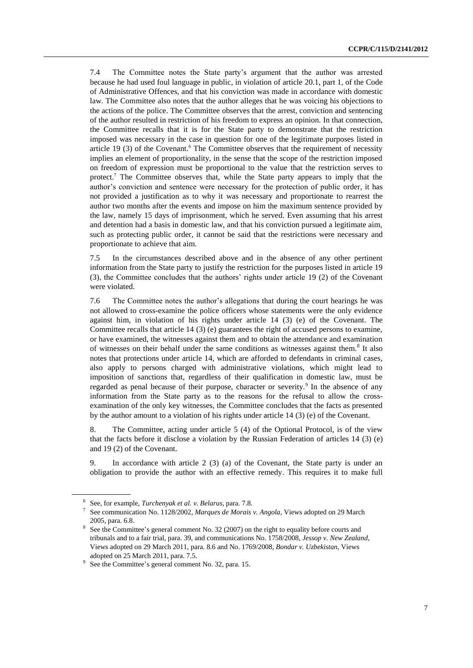7.4 The Committee notes the State party's argument that the author was arrested because he had used foul language in public, in violation of article 20.1, part 1, of the Code of Administrative Offences, and that his conviction was made in accordance with domestic law. The Committee also notes that the author alleges that he was voicing his objections to the actions of the police. The Committee observes that the arrest, conviction and sentencing of the author resulted in restriction of his freedom to express an opinion. In that connection, the Committee recalls that it is for the State party to demonstrate that the restriction imposed was necessary in the case in question for one of the legitimate purposes listed in article 19 (3) of the Covenant.<sup>6</sup> The Committee observes that the requirement of necessity implies an element of proportionality, in the sense that the scope of the restriction imposed on freedom of expression must be proportional to the value that the restriction serves to protect.<sup>7</sup> The Committee observes that, while the State party appears to imply that the author's conviction and sentence were necessary for the protection of public order, it has not provided a justification as to why it was necessary and proportionate to rearrest the author two months after the events and impose on him the maximum sentence provided by the law, namely 15 days of imprisonment, which he served. Even assuming that his arrest and detention had a basis in domestic law, and that his conviction pursued a legitimate aim, such as protecting public order, it cannot be said that the restrictions were necessary and proportionate to achieve that aim.

7.5 In the circumstances described above and in the absence of any other pertinent information from the State party to justify the restriction for the purposes listed in article 19 (3), the Committee concludes that the authors' rights under article 19 (2) of the Covenant were violated.

7.6 The Committee notes the author's allegations that during the court hearings he was not allowed to cross-examine the police officers whose statements were the only evidence against him, in violation of his rights under article 14 (3) (e) of the Covenant. The Committee recalls that article 14 (3) (e) guarantees the right of accused persons to examine, or have examined, the witnesses against them and to obtain the attendance and examination of witnesses on their behalf under the same conditions as witnesses against them.<sup>8</sup> It also notes that protections under article 14, which are afforded to defendants in criminal cases, also apply to persons charged with administrative violations, which might lead to imposition of sanctions that, regardless of their qualification in domestic law, must be regarded as penal because of their purpose, character or severity.<sup>9</sup> In the absence of any information from the State party as to the reasons for the refusal to allow the crossexamination of the only key witnesses, the Committee concludes that the facts as presented by the author amount to a violation of his rights under article 14 (3) (e) of the Covenant.

8. The Committee, acting under article 5 (4) of the Optional Protocol, is of the view that the facts before it disclose a violation by the Russian Federation of articles 14 (3) (e) and 19 (2) of the Covenant.

9. In accordance with article 2 (3) (a) of the Covenant, the State party is under an obligation to provide the author with an effective remedy. This requires it to make full

<sup>6</sup> See, for example, *Turchenyak et al. v. Belarus*, para. 7.8.

<sup>7</sup> See communication No. 1128/2002, *Marques de Morais v. Angola*, Views adopted on 29 March 2005, para. 6.8.

<sup>&</sup>lt;sup>8</sup> See the Committee's general comment No. 32 (2007) on the right to equality before courts and tribunals and to a fair trial, para. 39, and communications No. 1758/2008, *Jessop v. New Zealand*, Views adopted on 29 March 2011, para. 8.6 and No. 1769/2008, *Bondar v. Uzbekistan*, Views adopted on 25 March 2011, para. 7.5.

<sup>&</sup>lt;sup>9</sup> See the Committee's general comment No. 32, para. 15.